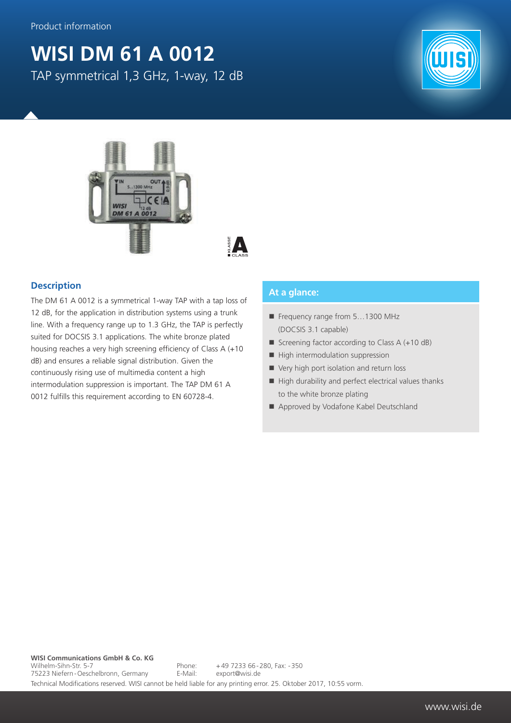## **WISI DM 61 A 0012** TAP symmetrical 1,3 GHz, 1-way, 12 dB





## **Description**

The DM 61 A 0012 is a symmetrical 1-way TAP with a tap loss of 12 dB, for the application in distribution systems using a trunk line. With a frequency range up to 1.3 GHz, the TAP is perfectly suited for DOCSIS 3.1 applications. The white bronze plated housing reaches a very high screening efficiency of Class A (+10 dB) and ensures a reliable signal distribution. Given the continuously rising use of multimedia content a high intermodulation suppression is important. The TAP DM 61 A 0012 fulfills this requirement according to EN 60728-4.

## **At a glance:**

- Frequency range from 5...1300 MHz (DOCSIS 3.1 capable)
- Screening factor according to Class  $A (+10 dB)$
- $\blacksquare$  High intermodulation suppression
- Very high port isolation and return loss
- $\blacksquare$  High durability and perfect electrical values thanks to the white bronze plating
- Approved by Vodafone Kabel Deutschland